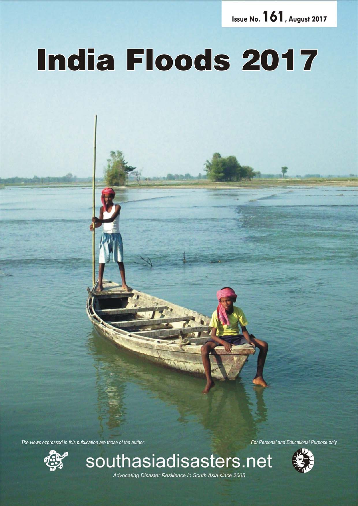Issue No. 161, August 2017

# **India Floods 2017**

The views expressed in this publication are those of the author.



For Personal and Educational Purpose only



Advocating Disaster Resilience in South Asia since 2005

*August 2017 southasiadisasters.net 1*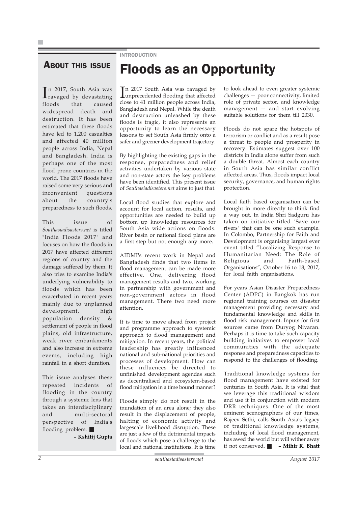### **INTRODUCTION**

### **ABOUT THIS ISSUE**

In 2017, South Asia was<br>Travaged by devastating ravaged by devastating floods that caused widespread death and destruction. It has been estimated that these floods have led to 1,200 casualties and affected 40 million people across India, Nepal and Bangladesh. India is perhaps one of the most flood prone countries in the world. The 2017 floods have raised some very serious and inconvenient questions about the country's preparedness to such floods.

This issue of *Southasiadisasters.net* is titled "India Floods 2017" and focuses on how the floods in 2017 have affected different regions of country and the damage suffered by them. It also tries to examine India's underlying vulnerability to floods which has been exacerbated in recent years mainly due to unplanned development, high population density & settlement of people in flood plains, old infrastructure, weak river embankments and also increase in extreme events, including high rainfall in a short duration.

This issue analyses these repeated incidents of flooding in the country through a systemic lens that takes an interdisciplinary and multi-sectoral perspective of India's flooding problem.

**– Kshitij Gupta**

In 2017 South Asia was ravaged by<br>unprecedented flooding that affected n 2017 South Asia was ravaged by close to 41 million people across India, Bangladesh and Nepal. While the death and destruction unleashed by these floods is tragic, it also represents an opportunity to learn the necessary lessons to set South Asia firmly onto a safer and greener development trajectory.

Floods as an Opportunity

By highlighting the existing gaps in the response, preparedness and relief activities undertaken by various state and non-state actors the key problems have been identified. This present issue of *Southasiadisasters.net* aims to just that.

Local flood studies that explore and account for local action, results, and opportunities are needed to build up bottom up knowledge resources for South Asia wide actions on floods. River basin or national flood plans are a first step but not enough any more.

AIDMI's recent work in Nepal and Bangladesh finds that two items in flood management can be made more effective. One, delivering flood management results and two, working in partnership with government and non-government actors in flood management. There two need more attention.

It is time to move ahead from project and programme approach to systemic approach to flood management and mitigation. In recent years, the political leadership has greatly influenced national and sub-national priorities and processes of development. How can these influences be directed to unfinished development agendas such as decentralised and ecosystem-based flood mitigation in a time bound manner?

Floods simply do not result in the inundation of an area alone; they also result in the displacement of people, halting of economic activity and largescale livelihood disruption. These are just a few of the detrimental impacts of floods which pose a challenge to the local and national institutions. It is time

to look ahead to even greater systemic challenges — poor connectivity, limited role of private sector, and knowledge management — and start evolving suitable solutions for them till 2030.

Floods do not spare the hotspots of terrorism or conflict and as a result pose a threat to people and prosperity in recovery. Estimates suggest over 100 districts in India alone suffer from such a double threat. Almost each country in South Asia has similar conflict affected areas. Thus, floods impact local security, governance, and human rights protection.

Local faith based organisation can be brought in more directly to think find a way out. In India Shri Sadguru has taken on initiative titled "Save our rivers" that can be one such example. In Colombo, Partnership for Faith and Development is organising largest ever event titled "Localizing Response to Humanitarian Need: The Role of Religious and Faith-based Organisations", October 16 to 18, 2017, for local faith organisations.

For years Asian Disaster Preparedness Center (ADPC) in Bangkok has run regional training courses on disaster management providing necessary and fundamental knowledge and skills in flood risk management. Inputs for first sources came from Duryog Nivaran. Perhaps it is time to take such capacity building initiatives to empower local communities with the adequate response and preparedness capacities to respond to the challenges of flooding.

Traditional knowledge systems for flood management have existed for centuries in South Asia. It is vital that we leverage this traditional wisdom and use it in conjunction with modern DRR techniques. One of the most eminent scenographers of our times, Rajeev Sethi, calls South Asia's legacy of traditional knowledge systems, including of local flood management, has awed the world but will wither away if not conserved. **– Mihir R. Bhatt**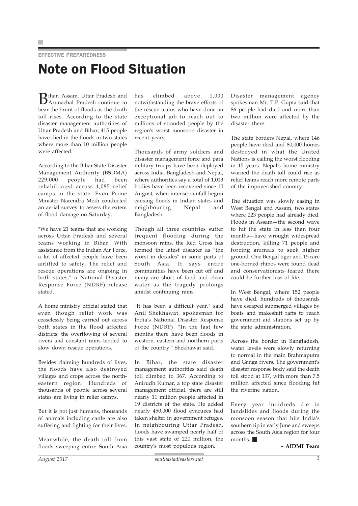EFFECTIVE PREPAREDNESS

# Note on Flood Situation

Bihar, Assam, Uttar Pradesh and Arunachal Pradesh continue to bear the brunt of floods as the death toll rises. According to the state disaster management authorities of Uttar Pradesh and Bihar, 415 people have died in the floods in two states where more than 10 million people were affected.

According to the Bihar State Disaster Management Authority (BSDMA) 229,000 people had been rehabilitated across 1,085 relief camps in the state. Even Prime Minister Narendra Modi conducted an aerial survey to assess the extent of flood damage on Saturday.

"We have 21 teams that are working across Uttar Pradesh and several teams working in Bihar. With assistance from the Indian Air Force, a lot of affected people have been airlifted to safety. The relief and rescue operations are ongoing in both states," a National Disaster Response Force (NDRF) release stated.

A home ministry official stated that even though relief work was ceaselessly being carried out across both states in the flood affected districts, the overflowing of several rivers and constant rains tended to slow down rescue operations.

Besides claiming hundreds of lives, the floods have also destroyed villages and crops across the northeastern region. Hundreds of thousands of people across several states are living in relief camps.

But it is not just humans, thousands of animals including cattle are also suffering and fighting for their lives.

Meanwhile, the death toll from floods sweeping entire South Asia

has climbed above 1,000 notwithstanding the brave efforts of the rescue teams who have done an exceptional job to reach out to millions of stranded people by the region's worst monsoon disaster in recent years.

Thousands of army soldiers and disaster management force and para military troops have been deployed across India, Bangladesh and Nepal, where authorities say a total of 1,013 bodies have been recovered since 10 August, when intense rainfall begun causing floods in Indian states and neighbouring Nepal and Bangladesh.

Though all three countries suffer frequent flooding during the monsoon rains, the Red Cross has termed the latest disaster as "the worst in decades" in some parts of South Asia. It says entire communities have been cut off and many are short of food and clean water as the tragedy prolongs amidst continuing rains.

"It has been a difficult year," said Anil Shekhawat, spokesman for India's National Disaster Response Force (NDRF). "In the last few months there have been floods in western, eastern and northern parts of the country," Shekhawat said.

In Bihar, the state disaster management authorities said death toll climbed to 367. According to Anirudh Kumar, a top state disaster management official, there are still nearly 11 million people affected in 19 districts of the state. He added nearly 450,000 flood evacuees had taken shelter in government refuges. In neighbouring Uttar Pradesh, floods have swamped nearly half of this vast state of 220 million, the country's most populous region.

Disaster management agency spokesman Mr. T.P. Gupta said that 86 people had died and more than two million were affected by the disaster there.

The state borders Nepal, where 146 people have died and 80,000 homes destroyed in what the United Nations is calling the worst flooding in 15 years. Nepal's home ministry warned the death toll could rise as relief teams reach more remote parts of the impoverished country.

The situation was slowly easing in West Bengal and Assam, two states where 223 people had already died. Floods in Assam—the second wave to hit the state in less than four months—have wrought widespread destruction, killing 71 people and forcing animals to seek higher ground. One Bengal tiger and 15 rare one-horned rhinos were found dead and conservationists feared there could be further loss of life.

In West Bengal, where 152 people have died, hundreds of thousands have escaped submerged villages by boats and makeshift rafts to reach government aid stations set up by the state administration.

Across the border in Bangladesh, water levels were slowly returning to normal in the main Brahmaputra and Ganga rivers. The government's disaster response body said the death toll stood at 137, with more than 7.5 million affected since flooding hit the riverine nation.

Every year hundreds die in landslides and floods during the monsoon season that hits India's southern tip in early June and sweeps across the South Asia region for four months.

**– AIDMI Team**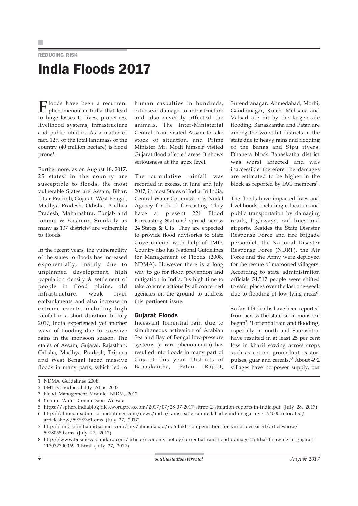### REDUCING RISK India Floods 2017

loods have been a recurrent phenomenon in India that lead to huge losses to lives, properties, livelihood systems, infrastructure and public utilities. As a matter of fact, 12% of the total landmass of the country (40 million hectare) is flood prone<sup>1</sup>.

Furthermore, as on August 18, 2017, 25 states<sup>2</sup> in the country are susceptible to floods, the most vulnerable States are Assam, Bihar, Uttar Pradesh, Gujarat, West Bengal, Madhya Pradesh, Odisha, Andhra Pradesh, Maharashtra, Punjab and Jammu & Kashmir. Similarly as many as  $137$  districts<sup>3</sup> are vulnerable to floods.

In the recent years, the vulnerability of the states to floods has increased exponentially, mainly due to unplanned development, high population density & settlement of people in flood plains, old infrastructure, weak river embankments and also increase in extreme events, including high rainfall in a short duration. In July 2017, India experienced yet another wave of flooding due to excessive rains in the monsoon season. The states of Assam, Gujarat, Rajasthan, Odisha, Madhya Pradesh, Tripura and West Bengal faced massive floods in many parts, which led to

human casualties in hundreds, extensive damage to infrastructure and also severely affected the animals. The Inter-Ministerial Central Team visited Assam to take stock of situation, and Prime Minister Mr. Modi himself visited Gujarat flood affected areas. It shows seriousness at the apex level.

The cumulative rainfall was recorded in excess, in June and July 2017, in most States of India. In India, Central Water Commission is Nodal Agency for flood forecasting. They have at present 221 Flood Forecasting Stations<sup>4</sup> spread across 24 States & UTs. They are expected to provide flood advisories to State Governments with help of IMD. Country also has National Guidelines for Management of Floods (2008, NDMA). However there is a long way to go for flood prevention and mitigation in India. It's high time to take concrete actions by all concerned agencies on the ground to address this pertinent issue.

### Gujarat Floods

Incessant torrential rain due to simultaneous activation of Arabian Sea and Bay of Bengal low-pressure systems (a rare phenomenon) has resulted into floods in many part of Gujarat this year. Districts of Banaskantha, Patan, Rajkot, Surendranagar, Ahmedabad, Morbi, Gandhinagar, Kutch, Mehsana and Valsad are hit by the large-scale flooding. Banaskantha and Patan are among the worst-hit districts in the state due to heavy rains and flooding of the Banas and Sipu rivers. Dhanera block Banaskatha district was worst affected and was inaccessible therefore the damages are estimated to be higher in the block as reported by IAG members<sup>5</sup>.

The floods have impacted lives and livelihoods, including education and public transportation by damaging roads, highways, rail lines and airports. Besides the State Disaster Response Force and fire brigade personnel, the National Disaster Response Force (NDRF), the Air Force and the Army were deployed for the rescue of marooned villagers. According to state administration officials 54,517 people were shifted to safer places over the last one-week due to flooding of low-lying areas<sup>6</sup>.

So far, 119 deaths have been reported from across the state since monsoon began7. 'Torrential rain and flooding, especially in north and Saurashtra, have resulted in at least 25 per cent loss in kharif sowing across crops such as cotton, groundnut, castor, pulses, guar and cereals.'8 About 492 villages have no power supply, out

<sup>1</sup> NDMA Guidelines 2008

<sup>2</sup> BMTPC Vulnerability Atlas 2007

<sup>3</sup> Flood Management Module, NIDM, 2012

<sup>4</sup> Central Water Commission Website

<sup>5</sup> https://sphereindiablog.files.wordpress.com/2017/07/28-07-2017-sitrep-2-situation-reports-in-india.pdf (July 28, 2017) 6 http://ahmedabadmirror.indiatimes.com/news/india/rains-batter-ahmedabad-gandhinagar-over-54000-relocated/

articleshow/59797361.cms (July 27, 2017)

<sup>7</sup> http://timesofindia.indiatimes.com/city/ahmedabad/rs-6-lakh-compensation-for-kin-of-deceased/articleshow/ 59780580.cms (July 27, 2017)

<sup>8</sup> http://www.business-standard.com/article/economy-policy/torrential-rain-flood-damage-25-kharif-sowing-in-gujarat-117072700069\_1.html (July 27, 2017)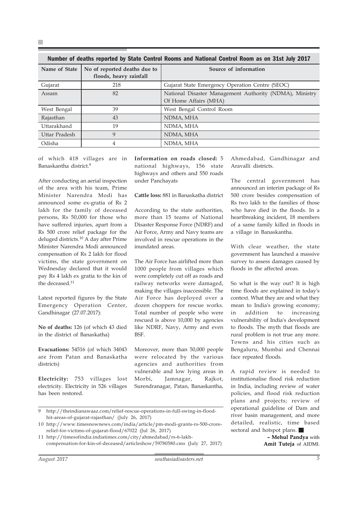| <u>Number of deaths reported by State Control Rooms and National Control Room as on Stist July 2017</u> |                                                        |                                                                                  |
|---------------------------------------------------------------------------------------------------------|--------------------------------------------------------|----------------------------------------------------------------------------------|
| Name of State                                                                                           | No of reported deaths due to<br>floods, heavy rainfall | Source of information                                                            |
| Gujarat                                                                                                 | 218                                                    | Gujarat State Emergency Operation Centre (SEOC)                                  |
| Assam                                                                                                   | 82                                                     | National Disaster Management Authority (NDMA), Ministry<br>Of Home Affairs (MHA) |
| West Bengal                                                                                             | 39                                                     | West Bengal Control Room                                                         |
| Rajasthan                                                                                               | 43                                                     | NDMA, MHA                                                                        |
| Uttarakhand                                                                                             | 19                                                     | NDMA, MHA                                                                        |
| Uttar Pradesh                                                                                           | 9                                                      | NDMA, MHA                                                                        |
| Odisha                                                                                                  | 4                                                      | NDMA, MHA                                                                        |

Number of deaths reported by State Control Rooms and National Control Room as on 31st July 2017

of which 418 villages are in Banaskantha district.9

×

After conducting an aerial inspection of the area with his team, Prime Minister Narendra Modi has announced some ex-gratia of Rs 2 lakh for the family of deceased persons, Rs 50,000 for those who have suffered injuries, apart from a Rs 500 crore relief package for the deluged districts.10 A day after Prime Minister Narendra Modi announced compensation of Rs 2 lakh for flood victims, the state government on Wednesday declared that it would pay Rs 4 lakh ex gratia to the kin of the deceased.<sup>11</sup>

Latest reported figures by the State Emergency Operation Center, Gandhinagar (27.07.2017):

**No of deaths:** 126 (of which 43 died in the district of Banaskatha)

**Evacuations:** 54516 (of which 34043 are from Patan and Banaskatha districts)

**Electricity:** 753 villages lost electricity. Electricity in 526 villages has been restored.

**Information on roads closed:** 5 national highways, 156 state highways and others and 550 roads under Panchayats

**Cattle loss:** 881 in Banaskatha district

According to the state authorities, more than 15 teams of National Disaster Response Force (NDRF) and Air Force, Army and Navy teams are involved in rescue operations in the inundated areas.

The Air Force has airlifted more than 1000 people from villages which were completely cut off as roads and railway networks were damaged, making the villages inaccessible. The Air Force has deployed over a dozen choppers for rescue works. Total number of people who were rescued is above 10,000 by agencies like NDRF, Navy, Army and even BSF.

Moreover, more than 50,000 people were relocated by the various agencies and authorities from vulnerable and low lying areas in Morbi, Jamnagar, Rajkot, Surendranagar, Patan, Banaskantha,

9 http://theindianawaaz.com/relief-rescue-operations-in-full-swing-in-floodhit-areas-of-gujarat-rajasthan/ (July 26, 2017)

10 http://www.timesnownews.com/india/article/pm-modi-grants-rs-500-crorerelief-for-victims-of-gujarat-flood/67022 (Jul 26, 2017)

11 http://timesofindia.indiatimes.com/city/ahmedabad/rs-6-lakhcompensation-for-kin-of-deceased/articleshow/59780580.cms (July 27, 2017)

Rs two lakh to the families of those who have died in the floods. In a heartbreaking incident, 18 members

a village in Banaskantha.

Aravalli districts.

With clear weather, the state government has launched a massive survey to assess damages caused by floods in the affected areas.

of a same family killed in floods in

Ahmedabad, Gandhinagar and

The central government has announced an interim package of Rs 500 crore besides compensation of

So what is the way out? It is high time floods are explained in today's context. What they are and what they mean to India's growing economy; in addition to increasing vulnerability of India's development to floods. The myth that floods are rural problem is not true any more. Towns and his cities such as Bengaluru, Mumbai and Chennai face repeated floods.

A rapid review is needed to institutionalise flood risk reduction in India, including review of water policies, and flood risk reduction plans and projects; review of operational guideline of Dam and river basin management, and more detailed, realistic, time based sectoral and hotspot plans.

> **– Mehul Pandya** with **Amit Tuteja** of AIDMI.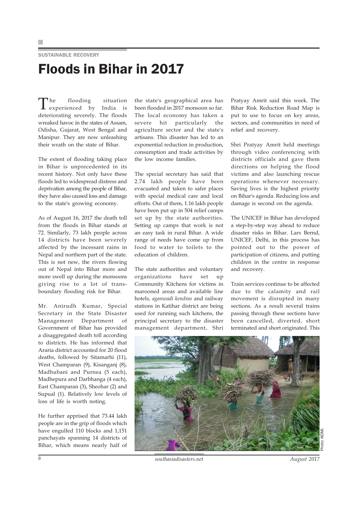### SUSTAINABLE RECOVERY Floods in Bihar in 2017

The flooding situation experienced by India is deteriorating severely. The floods wreaked havoc in the states of Assam, Odisha, Gujarat, West Bengal and Manipur. They are now unleashing their wrath on the state of Bihar.

The extent of flooding taking place in Bihar is unprecedented in its recent history. Not only have these floods led to widespread distress and deprivation among the people of Bihar, they have also caused loss and damage to the state's growing economy.

As of August 16, 2017 the death toll from the floods in Bihar stands at 72. Similarly, 73 lakh people across 14 districts have been severely affected by the incessant rains in Nepal and northern part of the state. This is not new, the rivers flowing out of Nepal into Bihar more and more swell up during the monsoons giving rise to a lot of transboundary flooding risk for Bihar.

Mr. Anirudh Kumar, Special Secretary in the State Disaster Management Department of Government of Bihar has provided a disaggregated death toll according to districts. He has informed that Araria district accounted for 20 flood deaths, followed by Sitamarhi (11), West Champaran (9), Kisanganj (8), Madhubani and Purnea (5 each), Madhepura and Darbhanga (4 each), East Champaran (3), Sheohar (2) and Supual (1). Relatively low levels of loss of life is worth noting.

He further apprised that 73.44 lakh people are in the grip of floods which have engulfed 110 blocks and 1,151 panchayats spanning 14 districts of Bihar, which means nearly half of

the state's geographical area has been flooded in 2017 monsoon so far. The local economy has taken a severe hit particularly the agriculture sector and the state's artisans. This disaster has led to an exponential reduction in production, consumption and trade activities by the low income families.

The special secretary has said that 2.74 lakh people have been evacuated and taken to safer places with special medical care and local efforts. Out of them, 1.16 lakh people have been put up in 504 relief camps set up by the state authorities. Setting up camps that work is not an easy task in rural Bihar. A wide range of needs have come up from food to water to toilets to the education of children.

The state authorities and voluntary organizations have set up Community Kitchens for victims in marooned areas and available line hotels, *aganwadi kendras* and railway stations in Katihar district are being used for running such kitchens, the principal secretary to the disaster management department, Shri

Pratyay Amrit said this week. The Bihar Risk Reduction Road Map is put to use to focus on key areas, sectors, and communities in need of relief and recovery.

Shri Pratyay Amrit held meetings through video conferencing with districts officials and gave them directions on helping the flood victims and also launching rescue operations whenever necessary. Saving lives is the highest priority on Bihar's agenda. Reducing loss and damage is second on the agenda.

The UNICEF in Bihar has developed a step-by-step way ahead to reduce disaster risks in Bihar. Lars Bernd, UNICEF, Delhi, in this process has pointed out to the power of participation of citizens, and putting children in the centre in response and recovery.

Train services continue to be affected due to the calamity and rail movement is disrupted in many sections. As a result several trains passing through these sections have been cancelled, diverted, short terminated and short originated. This



*6 southasiadisasters.net August 2017*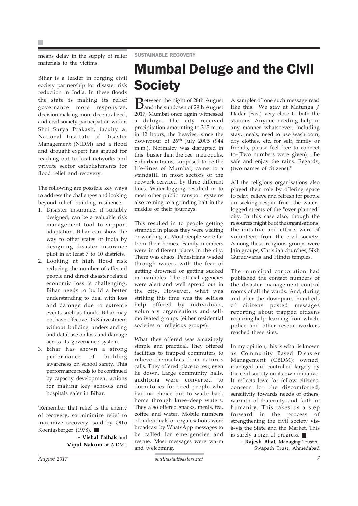means delay in the supply of relief materials to the victims.

Bihar is a leader in forging civil society partnership for disaster risk reduction in India. In these floods the state is making its relief governance more responsive, decision making more decentralized, and civil society participation wider. Shri Surya Prakash, faculty at National Institute of Disaster Management (NIDM) and a flood and drought expert has argued for reaching out to local networks and private sector establishments for flood relief and recovery.

The following are possible key ways to address the challenges and looking beyond relief: building resilience.

- 1. Disaster insurance, if suitably designed, can be a valuable risk management tool to support adaptation. Bihar can show the way to other states of India by designing disaster insurance pilot in at least 7 to 10 districts.
- 2. Looking at high flood risk reducing the number of affected people and direct disaster related economic loss is challenging. Bihar needs to build a better understanding to deal with loss and damage due to extreme events such as floods. Bihar may not have effective DRR investment without building understanding and database on loss and damage across its governance system.
- 3. Bihar has shown a strong performance of building awareness on school safety. This performance needs to be continued by capacity development actions for making key schools and hospitals safer in Bihar.

'Remember that relief is the enemy of recovery, so minimize relief to maximize recovery' said by Otto Koenigsberger (1978).

> **– Vishal Pathak** and **Vipul Nakum** of AIDMI.

### Mumbai Deluge and the Civil **Society**

**B**etween the night of 28th August<br>and the sundown of 29th August 2017, Mumbai once again witnessed a deluge. The city received precipitation amounting to 315 m.m. in 12 hours, the heaviest since the downpour of  $26<sup>th</sup>$  July 2005 (944 m.m.). Normalcy was disrupted in this "busier than the bee" metropolis. Suburban trains, supposed to be the life-lines of Mumbai, came to a standstill in most sectors of the network serviced by three different lines. Water-logging resulted in to most other public transport systems also coming to a grinding halt in the middle of their journeys.

This resulted in to people getting stranded in places they were visiting or working at. Most people were far from their homes. Family members were in different places in the city. There was chaos. Pedestrians waded through waters with the fear of getting drowned or getting sucked in manholes. The official agencies were alert and well spread out in the city. However, what was striking this time was the selfless help offered by individuals, voluntary organisations and selfmotivated groups (either residential societies or religious groups).

What they offered was amazingly simple and practical. They offered facilities to trapped commuters to relieve themselves from nature's calls. They offered place to rest, even lie down. Large community halls, auditoria were converted to dormitories for tired people who had no choice but to wade back home through knee–deep waters. They also offered snacks, meals, tea, coffee and water. Mobile numbers of individuals or organisations were broadcast by WhatsApp messages to be called for emergencies and rescue. Most messages were warm and welcoming.

A sampler of one such message read like this: "We stay at Matunga / Dadar (East) very close to both the stations. Anyone needing help in any manner whatsoever, including stay, meals, need to use washroom, dry clothes, etc. for self, family or friends, please feel free to connect to–(Two numbers were given)... Be safe and enjoy the rains. Regards, (two names of citizens)."

All the religious organisations also played their role by offering space to relax, relieve and refresh for people on seeking respite from the water– logged streets of the "over planned" city. In this case also, though the resources might be of the organisations, the initiative and efforts were of volunteers from the civil society. Among these religious groups were Jain groups, Christian churches, Sikh Gurudwaras and Hindu temples.

The municipal corporation had published the contact numbers of the disaster management control rooms of all the wards. And, during and after the downpour, hundreds of citizens posted messages reporting about trapped citizens requiring help, learning from which, police and other rescue workers reached these sites.

In my opinion, this is what is known as Community Based Disaster Management (CBDM): owned, managed and controlled largely by the civil society on its own initiative. It reflects love for fellow citizens, concern for the discomforted, sensitivity towards needs of others, warmth of fraternity and faith in humanity. This takes us a step forward in the process of strengthening the civil society visà-vis the State and the Market. This is surely a sign of progress.

> **– Rajesh Bhat,** Managing Trustee, Swapath Trust, Ahmedabad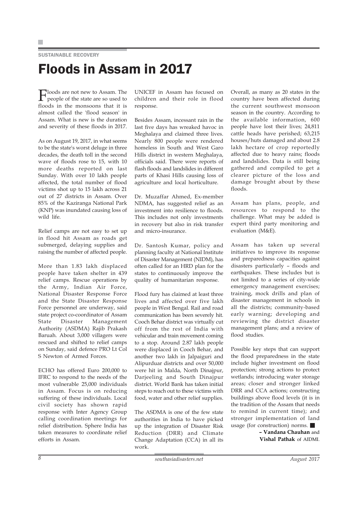SUSTAINABLE RECOVERY

# Floods in Assam in 2017

 $\prod_{\text{people of the original}}$ people of the state are so used to floods in the monsoons that it is almost called the 'flood season' in Assam. What is new is the duration and severity of these floods in 2017.

As on August 19, 2017, in what seems to be the state's worst deluge in three decades, the death toll in the second wave of floods rose to 15, with 10 more deaths reported on last Sunday. With over 10 lakh people affected, the total number of flood victims shot up to 15 lakh across 21 out of 27 districts in Assam. Over 85% of the Kaziranga National Park (KNP) was inundated causing loss of wild life.

Relief camps are not easy to set up in flood hit Assam as roads get submerged, delaying supplies and raising the number of affected people.

More than 1.83 lakh displaced people have taken shelter in 439 relief camps. Rescue operations by the Army, Indian Air Force, National Disaster Response Force and the State Disaster Response Force personnel are underway, said state project co-coordinator of Assam State Disaster Management Authority (ASDMA) Rajib Prakash Baruah. About 3,000 villagers were rescued and shifted to relief camps on Sunday, said defence PRO Lt Col S Newton of Armed Forces.

ECHO has offered Euro 200,000 to IFRC to respond to the needs of the most vulnerable 25,000 individuals in Assam. Focus is on reducing suffering of these individuals. Local civil society has shown rapid response with Inter Agency Group calling coordination meetings for relief distribution. Sphere India has taken measures to coordinate relief efforts in Assam.

UNICEF in Assam has focused on children and their role in flood response.

Besides Assam, incessant rain in the last five days has wreaked havoc in Meghalaya and claimed three lives. Nearly 800 people were rendered homeless in South and West Garo Hills district in western Meghalaya, officials said. There were reports of flash floods and landslides in different parts of Khasi Hills causing loss of agriculture and local horticulture.

Dr. Muzaffar Ahmed, Ex-member NDMA, has suggested relief as an investment into resilience to floods. This includes not only investments in recovery but also in risk transfer and micro-insurance.

Dr. Santosh Kumar, policy and planning faculty at National Institute of Disaster Management (NIDM), has often called for an HRD plan for the states to continuously improve the quality of humanitarian response.

Flood fury has claimed at least three lives and affected over five lakh people in West Bengal. Rail and road communication has been severely hit. Cooch Behar district was virtually cut off from the rest of India with vehicular and train movement coming to a stop. Around 2.87 lakh people were displaced in Cooch Behar, and another two lakh in Jalpaiguri and Alipurduar districts and over 50,000 were hit in Malda, North Dinajpur, Darjeeling and South Dinajpur district. World Bank has taken initial steps to reach out to these victims with food, water and other relief supplies.

The ASDMA is one of the few state authorities in India to have picked up the integration of Disaster Risk Reduction (DRR) and Climate Change Adaptation (CCA) in all its work.

Overall, as many as 20 states in the country have been affected during the current southwest monsoon season in the country. According to the available information, 600 people have lost their lives; 24,811 cattle heads have perished; 63,215 houses/huts damaged and about 2.8 lakh hectare of crop reportedly affected due to heavy rains; floods and landslides. Data is still being gathered and compiled to get a clearer picture of the loss and damage brought about by these floods.

Assam has plans, people, and resources to respond to the challenge. What may be added is expert third party monitoring and evaluation (M&E).

Assam has taken up several initiatives to improve its response and preparedness capacities against disasters particularly – floods and earthquakes. These includes but is not limited to a series of city-wide emergency management exercises; training, mock drills and plan of disaster management in schools in all the districts; community-based early warning; developing and reviewing the district disaster management plans; and a review of flood studies.

Possible key steps that can support the flood preparedness in the state include higher investment on flood protection; strong actions to protect wetlands; introducing water storage areas; closer and stronger linked DRR and CCA actions; constructing buildings above flood levels (it is in the tradition of the Assam that needs to remind in current time); and stronger implementation of land usage (for construction) norms.

> **– Vandana Chauhan** and **Vishal Pathak** of AIDMI.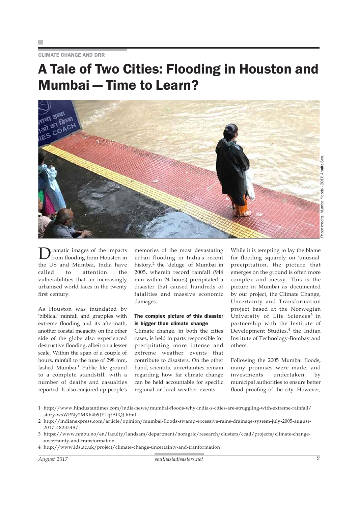CLIMATE CHANGE AND DRR

### A Tale of Two Cities: Flooding in Houston and Mumbai — Time to Learn?



Photo credits: Mumbai floods - 2017: Amrita Sen. credits: Mumbai floods - 2017: Amrita Ser noto

Dramatic images of the impacts from flooding from Houston in the US and Mumbai, India have called to attention the vulnerabilities that an increasingly urbanised world faces in the twenty first century.

As Houston was inundated by 'biblical' rainfall and grapples with extreme flooding and its aftermath, another coastal megacity on the other side of the globe also experienced destructive flooding, albeit on a lesser scale. Within the span of a couple of hours, rainfall to the tune of 298 mm, lashed Mumbai.<sup>1</sup> Public life ground to a complete standstill, with a number of deaths and casualties reported. It also conjured up people's

memories of the most devastating urban flooding in India's recent history,<sup>2</sup> the 'deluge' of Mumbai in 2005, wherein record rainfall (944 mm within 24 hours) precipitated a disaster that caused hundreds of fatalities and massive economic damages.

### The complex picture of this disaster is bigger than climate change

Climate change, in both the cities cases, is held in parts responsible for precipitating more intense and extreme weather events that contribute to disasters. On the other hand, scientific uncertainties remain regarding how far climate change can be held accountable for specific regional or local weather events.

While it is tempting to lay the blame for flooding squarely on 'unusual' precipitation, the picture that emerges on the ground is often more complex and messy. This is the picture in Mumbai as documented by our project, the Climate Change, Uncertainty and Transformation project based at the Norwegian University of Life Sciences<sup>3</sup> in partnership with the Institute of Development Studies,<sup>4</sup> the Indian Institute of Technology-Bombay and others.

Following the 2005 Mumbai floods, many promises were made, and investments undertaken by municipal authorities to ensure better flood proofing of the city. However,

<sup>1</sup> http://www.hindustantimes.com/india-news/mumbai-floods-why-india-s-cities-are-struggling-with-extreme-rainfall/ story-wsWPNy2MXh4b9JYTqtA0QJ.html

<sup>2</sup> http://indianexpress.com/article/opinion/mumbai-floods-swamp-excessive-rains-drainage-system-july-2005-august-2017-4823348/

<sup>3</sup> https://www.nmbu.no/en/faculty/landsam/department/noragric/research/clusters/ccad/projects/climate-changeuncertainty-and-transformation

<sup>4</sup> http://www.ids.ac.uk/project/climate-change-uncertainty-and-tranformation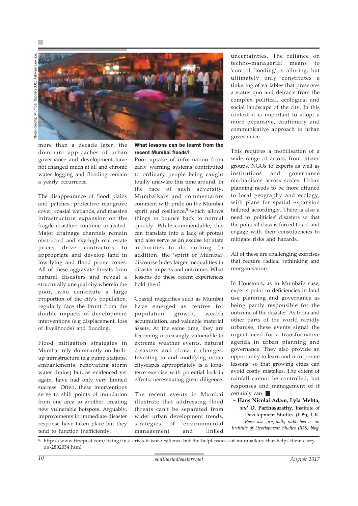Photo credits: Mumbai floods-2005: Ashwan Lewis.e. floods-2005: Ashwan credits: Mumbai opole



more than a decade later, the dominant approaches of urban governance and development have not changed much at all and chronic water logging and flooding remain a yearly occurrence.

The disappearance of flood plains and patches, protective mangrove cover, coastal wetlands, and massive infrastructure expansion on the fragile coastline continue unabated. Major drainage channels remain obstructed and sky-high real estate prices drive contractors to appropriate and develop land in low-lying and flood prone zones. All of these aggravate threats from natural disasters and reveal a structurally unequal city wherein the poor, who constitute a large proportion of the city's population, regularly face the brunt from the double impacts of development interventions (e.g displacement, loss of livelihoods) and flooding.

Flood mitigation strategies in Mumbai rely dominantly on builtup infrastructure (e.g pump stations, embankments, renovating storm water drains) but, as evidenced yet again, have had only very limited success. Often, these interventions serve to shift points of inundation from one area to another, creating new vulnerable hotspots. Arguably, improvements in immediate disaster response have taken place but they tend to function inefficiently.

What lessons can be learnt from the recent Mumbai floods?

Poor uptake of information from early warning systems contributed to ordinary people being caught totally unaware this time around. In the face of such adversity, Mumbaikars and commentators comment with pride on the Mumbai spirit and resilience,<sup>5</sup> which allows things to bounce back to normal quickly. While commendable, this can translate into a lack of protest and also serve as an excuse for state authorities to do nothing. In addition, the 'spirit of Mumbai' discourse hides larger inequalities in disaster impacts and outcomes. What lessons do these recent experiences hold then?

Coastal megacities such as Mumbai have emerged as centres for population growth, wealth accumulation, and valuable material assets. At the same time, they are becoming increasingly vulnerable to extreme weather events, natural disasters and climatic changes. Investing in and modifying urban cityscapes appropriately is a longterm exercise with potential lock-in effects, necessitating great diligence.

The recent events in Mumbai illustrate that addressing flood threats can't be separated from wider urban development trends, strategies of environmental management and linked

uncertainties. The reliance on techno-managerial means to 'control flooding' is alluring, but ultimately only constitutes a tinkering of variables that preserves a status quo and detracts from the complex political, ecological and social landscape of the city. In this context it is important to adopt a more expansive, cautionary and communicative approach to urban governance.

This requires a mobilisation of a wide range of actors, from citizen groups, NGOs to experts as well as institutions and governance mechanisms across scales. Urban planning needs to be more attuned to local geography and ecology, with plans for spatial expansion tailored accordingly. There is also a need to 'politicise' disasters so that the political class is forced to act and engage with their constituencies to mitigate risks and hazards.

All of these are challenging exercises that require radical rethinking and reorganisation.

In Houston's, as in Mumbai's case, experts point to deficiencies in land use planning and governance as being partly responsible for the outcome of the disaster. As India and other parts of the world rapidly urbanise, these events signal the urgent need for a transformative agenda in urban planning and governance. They also provide an opportunity to learn and incorporate lessons, so that growing cities can avoid costly mistakes. The extent of rainfall cannot be controlled, but responses and management of it certainly can.

**– Hans Nicolai Adam, Lyla Mehta,** *and* **D. Parthasarathy,** Institute of

Development Studies (IDS), UK. *Piece was originally published as an Institute of Development Studies (IDS) blog.*

5 http://www.firstpost.com/living/in-a-crisis-it-isnt-resilience-but-the-helplessness-of-mumbaikars-that-helps-them-carryon-2802054.html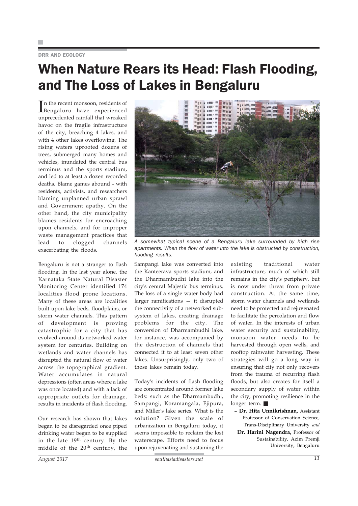### DRR AND ECOLOGY

## When Nature Rears its Head: Flash Flooding, and The Loss of Lakes in Bengaluru

In the recent monsoon, residents of<br>Bengaluru have experienced Bengaluru have experienced unprecedented rainfall that wreaked havoc on the fragile infrastructure of the city, breaching 4 lakes, and with 4 other lakes overflowing. The rising waters uprooted dozens of trees, submerged many homes and vehicles, inundated the central bus terminus and the sports stadium, and led to at least a dozen recorded deaths. Blame games abound - with residents, activists, and researchers blaming unplanned urban sprawl and Government apathy. On the other hand, the city municipality blames residents for encroaching upon channels, and for improper waste management practices that lead to clogged channels exacerbating the floods.

Bengaluru is not a stranger to flash flooding. In the last year alone, the Karnataka State Natural Disaster Monitoring Center identified 174 localities flood prone locations. Many of these areas are localities built upon lake beds, floodplains, or storm water channels. This pattern of development is proving catastrophic for a city that has evolved around its networked water system for centuries. Building on wetlands and water channels has disrupted the natural flow of water across the topographical gradient. Water accumulates in natural depressions (often areas where a lake was once located) and with a lack of appropriate outlets for drainage, results in incidents of flash flooding.

Our research has shown that lakes began to be disregarded once piped drinking water began to be supplied in the late 19<sup>th</sup> century. By the middle of the 20<sup>th</sup> century, the



*A somewhat typical scene of a Bengaluru lake surrounded by high rise apartments. When the flow of water into the lake is obstructed by construction, flooding results.*

Sampangi lake was converted into the Kanteerava sports stadium, and the Dharmambudhi lake into the city's central Majestic bus terminus. The loss of a single water body had larger ramifications — it disrupted the connectivity of a networked subsystem of lakes, creating drainage problems for the city. The conversion of Dharmambudhi lake, for instance, was accompanied by the destruction of channels that connected it to at least seven other lakes. Unsurprisingly, only two of those lakes remain today.

Today's incidents of flash flooding are concentrated around former lake beds: such as the Dharmambudhi, Sampangi, Koramangala, Ejipura, and Miller's lake series. What is the solution? Given the scale of urbanization in Bengaluru today, it seems impossible to reclaim the lost waterscape. Efforts need to focus upon rejuvenating and sustaining the

existing traditional water infrastructure, much of which still remains in the city's periphery, but is now under threat from private construction. At the same time, storm water channels and wetlands need to be protected and rejuvenated to facilitate the percolation and flow of water. In the interests of urban water security and sustainability, monsoon water needs to be harvested through open wells, and rooftop rainwater harvesting. These strategies will go a long way in ensuring that city not only recovers from the trauma of recurring flash floods, but also creates for itself a secondary supply of water within the city, promoting resilience in the longer term.

**– Dr. Hita Unnikrishnan,** Assistant Professor of Conservation Science,

Trans-Disciplinary University *and* **Dr. Harini Nagendra,** Professor of Sustainability, Azim Premji University, Bengaluru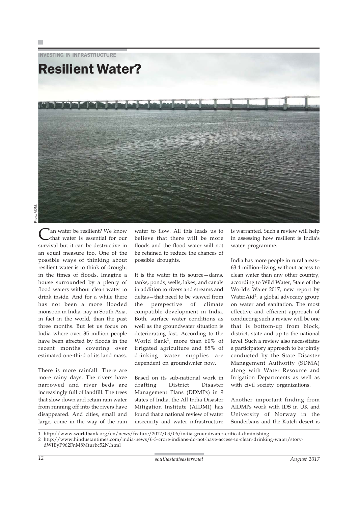INVESTING IN INFRASTRUCTURE



an water be resilient? We know that water is essential for our survival but it can be destructive in an equal measure too. One of the possible ways of thinking about resilient water is to think of drought in the times of floods. Imagine a house surrounded by a plenty of flood waters without clean water to drink inside. And for a while there has not been a more flooded monsoon in India, nay in South Asia, in fact in the world, than the past three months. But let us focus on India where over 35 million people have been affected by floods in the recent months covering over estimated one-third of its land mass.

There is more rainfall. There are more rainy days. The rivers have narrowed and river beds are increasingly full of landfill. The trees that slow down and retain rain water from running off into the rivers have disappeared. And cities, small and large, come in the way of the rain

water to flow. All this leads us to believe that there will be more floods and the flood water will not be retained to reduce the chances of possible droughts.

It is the water in its source—dams, tanks, ponds, wells, lakes, and canals in addition to rivers and streams and deltas—that need to be viewed from the perspective of climate compatible development in India. Both, surface water conditions as well as the groundwater situation is deteriorating fast. According to the World Bank1, more than 60% of irrigated agriculture and 85% of drinking water supplies are dependent on groundwater now.

Based on its sub-national work in drafting District Disaster Management Plans (DDMPs) in 9 states of India, the All India Disaster Mitigation Institute (AIDMI) has found that a national review of water insecurity and water infrastructure

is warranted. Such a review will help in assessing how resilient is India's water programme.

India has more people in rural areas– 63.4 million–living without access to clean water than any other country, according to Wild Water, State of the World's Water 2017, new report by WaterAid<sup>2</sup>, a global advocacy group on water and sanitation. The most effective and efficient approach of conducting such a review will be one that is bottom-up from block, district, state and up to the national level. Such a review also necessitates a participatory approach to be jointly conducted by the State Disaster Management Authority (SDMA) along with Water Resource and Irrigation Departments as well as with civil society organizations.

Another important finding from AIDMI's work with IDS in UK and University of Norway in the Sunderbans and the Kutch desert is

1 http://www.worldbank.org/en/news/feature/2012/03/06/india-groundwater-critical-diminishing

<sup>2</sup> http://www.hindustantimes.com/india-news/6-3-crore-indians-do-not-have-access-to-clean-drinking-water/story-

dWIEyP962FnM8Mturbc52N.html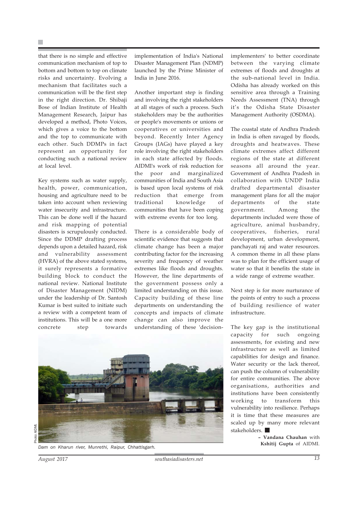that there is no simple and effective communication mechanism of top to bottom and bottom to top on climate risks and uncertainty. Evolving a mechanism that facilitates such a communication will be the first step in the right direction. Dr. Shibaji Bose of Indian Institute of Health Management Research, Jaipur has developed a method, Photo Voices, which gives a voice to the bottom and the top to communicate with each other. Such DDMPs in fact represent an opportunity for conducting such a national review at local level.

Key systems such as water supply, health, power, communication, housing and agriculture need to be taken into account when reviewing water insecurity and infrastructure. This can be done well if the hazard and risk mapping of potential disasters is scrupulously conducted. Since the DDMP drafting process depends upon a detailed hazard, risk and vulnerability assessment (HVRA) of the above stated systems, it surely represents a formative building block to conduct the national review. National Institute of Disaster Management (NIDM) under the leadership of Dr. Santosh Kumar is best suited to initiate such a review with a competent team of institutions. This will be a one more concrete step towards

implementation of India's National Disaster Management Plan (NDMP) launched by the Prime Minister of India in June 2016.

Another important step is finding and involving the right stakeholders at all stages of such a process. Such stakeholders may be the authorities or people's movements or unions or cooperatives or universities and beyond. Recently Inter Agency Groups (IAGs) have played a key role involving the right stakeholders in each state affected by floods. AIDMI's work of risk reduction for the poor and marginalized communities of India and South Asia is based upon local systems of risk reduction that emerge from traditional knowledge of communities that have been coping with extreme events for too long.

There is a considerable body of scientific evidence that suggests that climate change has been a major contributing factor for the increasing severity and frequency of weather extremes like floods and droughts. However, the line departments of the government possess only a limited understanding on this issue. Capacity building of these line departments on understanding the concepts and impacts of climate change can also improve the understanding of these 'decisionimplementers' to better coordinate between the varying climate extremes of floods and droughts at the sub-national level in India. Odisha has already worked on this sensitive area through a Training Needs Assessment (TNA) through it's the Odisha State Disaster Management Authority (OSDMA).

The coastal state of Andhra Pradesh in India is often ravaged by floods, droughts and heatwaves. These climate extremes affect different regions of the state at different seasons all around the year. Government of Andhra Pradesh in collaboration with UNDP India drafted departmental disaster management plans for all the major departments of the state government. Among the departments included were those of agriculture, animal husbandry, cooperatives, fisheries, rural development, urban development, panchayati raj and water resources. A common theme in all these plans was to plan for the efficient usage of water so that it benefits the state in a wide range of extreme weather.

Next step is for more nurturance of the points of entry to such a process of building resilience of water infrastructure.

The key gap is the institutional capacity for such ongoing assessments, for existing and new infrastructure as well as limited capabilities for design and finance. Water security or the lack thereof, can push the column of vulnerability for entire communities. The above organisations, authorities and institutions have been consistently working to transform this vulnerability into resilience. Perhaps it is time that these measures are scaled up by many more relevant stakeholders.

> **– Vandana Chauhan** with **Kshitij Gupta** of AIDMI.



*Dam on Kharun river, Munrethi, Raipur, Chhattisgarh.*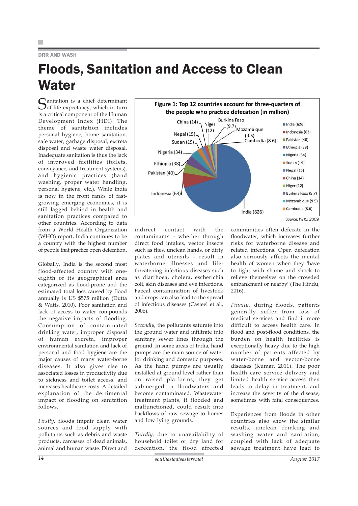### DRR AND WASH

# Floods, Sanitation and Access to Clean **Water**

Sanitation is a chief determinant<br>
Sof life expectancy, which in turn is a critical component of the Human Development Index (HDI). The theme of sanitation includes personal hygiene, home sanitation, safe water, garbage disposal, excreta disposal and waste water disposal. Inadequate sanitation is thus the lack of improved facilities (toilets, conveyance, and treatment systems), and hygienic practices (hand washing, proper water handling, personal hygiene, etc.). While India is now in the front ranks of fastgrowing emerging economies, it is still lagged behind in health and sanitation practices compared to other countries. According to data from a World Health Organization (WHO) report, India continues to be a country with the highest number of people that practice open defecation.

Globally, India is the second most flood-affected country with oneeighth of its geographical area categorized as flood-prone and the estimated total loss caused by flood annually is US \$575 million (Dutta & Watts, 2010). Poor sanitation and lack of access to water compounds the negative impacts of flooding. Consumption of contaminated drinking water, improper disposal of human excreta, improper environmental sanitation and lack of personal and food hygiene are the major causes of many water-borne diseases. It also gives rise to associated losses in productivity due to sickness and toilet access, and increases healthcare costs. A detailed explanation of the detrimental impact of flooding on sanitation follows.

*Firstly,* floods impair clean water sources and food supply with pollutants such as debris and waste products, carcasses of dead animals, animal and human waste. Direct and



*Source: WHO, 2009.*

indirect contact with the contaminants – whether through direct food intakes, vector insects such as flies, unclean hands, or dirty plates and utensils – result in waterborne illnesses and lifethreatening infectious diseases such as diarrhoea, cholera, escherichia coli, skin diseases and eye infections. Faecal contamination of livestock and crops can also lead to the spread of infectious diseases (Casteel et al., 2006).

*Secondly,* the pollutants saturate into the ground water and infiltrate into sanitary sewer lines through the ground. In some areas of India, hand pumps are the main source of water for drinking and domestic purposes. As the hand pumps are usually installed at ground level rather than on raised platforms, they get submerged in floodwaters and become contaminated. Wastewater treatment plants, if flooded and malfunctioned, could result into backflows of raw sewage to homes and low lying grounds.

*Thirdly,* due to unavailability of household toilet or dry land for defecation, the flood affected

communities often defecate in the floodwater, which increases further risks for waterborne disease and related infections. Open defecation also seriously affects the mental health of women when they 'have to fight with shame and shock to relieve themselves on the crowded embankment or nearby' (The Hindu, 2016).

*Finally,* during floods, patients generally suffer from loss of medical services and find it more difficult to access health care. In flood and post-flood conditions, the burden on health facilities is exceptionally heavy due to the high number of patients affected by water-borne and vector-borne diseases (Kumar, 2011). The poor health care service delivery and limited health service access then leads to delay in treatment, and increase the severity of the disease, sometimes with fatal consequences.

Experiences from floods in other countries also show the similar results, unclean drinking and washing water and sanitation, coupled with lack of adequate sewage treatment have lead to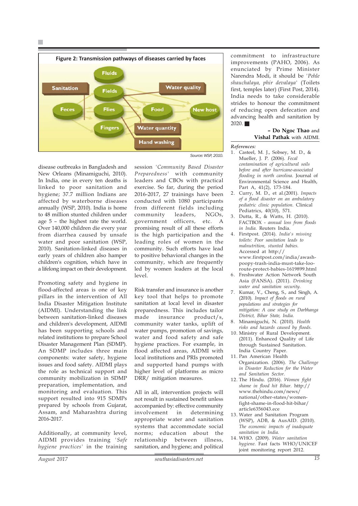F.



disease outbreaks in Bangladesh and New Orleans (Minamiguchi, 2010). In India, one in every ten deaths is linked to poor sanitation and hygiene; 37.7 million Indians are affected by waterborne diseases annually (WSP, 2010). India is home to 48 million stunted children under age 5 – the highest rate the world. Over 140,000 children die every year from diarrhea caused by unsafe water and poor sanitation (WSP, 2010). Sanitation-linked diseases in early years of children also hamper children's cognition, which have in a lifelong impact on their development.

Promoting safety and hygiene in flood-affected areas is one of key pillars in the intervention of All India Disaster Mitigation Institute (AIDMI). Understanding the link between sanitation-linked diseases and children's development, AIDMI has been supporting schools and related institutions to prepare School Disaster Management Plan (SDMP). An SDMP includes three main components: water safety, hygiene issues and food safety. AIDMI plays the role as technical support and community mobilization in SDMP preparation, implementation, and monitoring and evaluation. This support resulted into 915 SDMPs prepared by schools from Gujarat, Assam, and Maharashtra during 2016-2017.

Additionally, at community level, AIDMI provides training *'Safe hygiene practices'* in the training session *'Community Based Disaster Preparedness'* with community leaders and CBOs with practical exercise. So far, during the period 2016-2017, 27 trainings have been conducted with 1080 participants from different fields including community leaders, NGOs, government officers, etc. A promising result of all these efforts is the high participation and the leading roles of women in the community. Such efforts have lead to positive behavioral changes in the community, which are frequently led by women leaders at the local  $level.$ 

Risk transfer and insurance is another key tool that helps to promote sanitation at local level in disaster preparedness. This includes tailor made insurance product/s, community water tanks, uplift of water pumps, promotion of savings, water and food safety and safe hygiene practices. For example, in flood affected areas, AIDMI with local institutions and PRIs promoted and supported hand pumps with higher level of platforms as micro DRR/ mitigation measures.

All in all, intervention projects will not result in sustained benefit unless accompanied by: effective community involvement in determining appropriate water and sanitation systems that accommodate social norms; education about the relationship between illness, sanitation, and hygiene; and political

commitment to infrastructure improvements (PAHO, 2006). As enunciated by Prime Minister Narendra Modi, it should be *'Pehle shauchalaya, phir devalaya'* (Toilets first, temples later) (First Post, 2014). India needs to take considerable strides to honour the commitment of reducing open defecation and advancing health and sanitation by  $2020$ .

### **– Do Ngoc Thao** and **Vishal Pathak** with AIDMI.

*References:*

- 1. Casteel, M. J., Sobsey, M. D., & Mueller, J. P. (2006). *Fecal contamination of agricultural soils before and after hurricane-associated flooding in north carolina.* Journal of Environmental Science and Health, Part A, 41(2), 173-184.
- 2. Curry, M. D., et al.(2001). *Impacts of a flood disaster on an ambulatory pediatric clinic population.* Clinical Pediatrics, 40(10), 571.
- 3. Dutta, R., & Watts, H. (2010). FACTBOX - *annual loss from floods in India.* Reuters India.
- 4. Firstpost. (2014). *India's missing toilets: Poor sanitation leads to malnutrition, stunted babies.* Accessed at http:// www.firstpost.com/india/awashpoopy-trash-india-must-take-looroute-protect-babies-1619899.html
- 6. Freshwater Action Network South Asia (FANSA). (2011). *Drinking water and sanitation security.*
- 7. Kumar, V., Cheng, S., and Singh, A. (2010). *Impact of floods on rural populations and strategies for mitigation: A case study on Darbhanga District, Bihar State, India.*
- 8. Minamiguchi, N. (2010). *Health risks and hazards caused by floods.*
- 10. Ministry of Rural Development. (2011). Enhanced Quality of Life through Sustained Sanitation. India Country Paper.
- 11. Pan American Health Organization. (2006). *The Challenge in Disaster Reduction for the Water and Sanitation Sector.*
- 12. The Hindu. (2016). *Women fight shame in flood hit Bihar.* http:// www.thehindu.com/news/ national/other-states/womenfight-shame-in-flood-hit-bihar/ article6356043.ece
- 13. Water and Sanitation Program (WSP), ADB, & AusAID. (2010). *The economic impacts of inadequate sanitation in India.*
- 14. WHO. (2009). *Water sanitation hygiene.* Fast facts WHO/UNICEF joint monitoring report 2012.